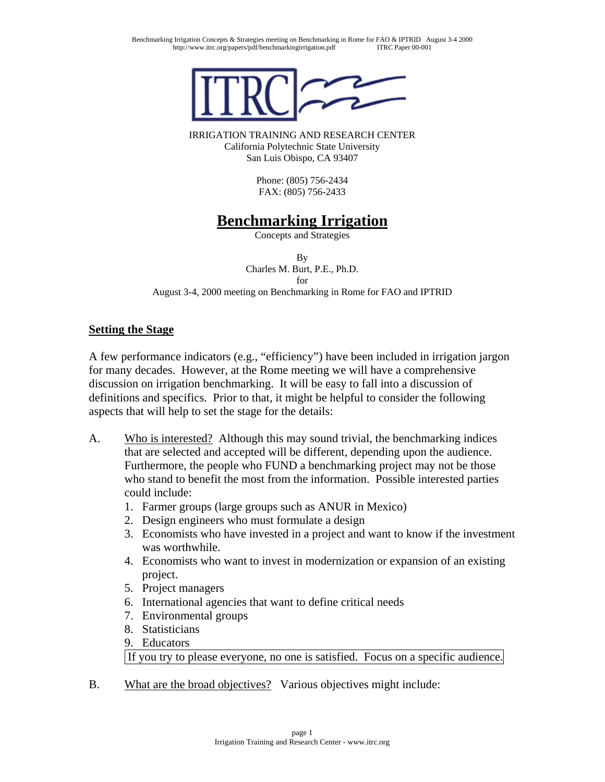

IRRIGATION TRAINING AND RESEARCH CENTER California Polytechnic State University San Luis Obispo, CA 93407

> Phone: (805) 756-2434 FAX: (805) 756-2433

# **Benchmarking Irrigation**

Concepts and Strategies

By Charles M. Burt, P.E., Ph.D. for August 3-4, 2000 meeting on Benchmarking in Rome for FAO and IPTRID

### **Setting the Stage**

A few performance indicators (e.g., "efficiency") have been included in irrigation jargon for many decades. However, at the Rome meeting we will have a comprehensive discussion on irrigation benchmarking. It will be easy to fall into a discussion of definitions and specifics. Prior to that, it might be helpful to consider the following aspects that will help to set the stage for the details:

- A. Who is interested? Although this may sound trivial, the benchmarking indices that are selected and accepted will be different, depending upon the audience. Furthermore, the people who FUND a benchmarking project may not be those who stand to benefit the most from the information. Possible interested parties could include:
	- 1. Farmer groups (large groups such as ANUR in Mexico)
	- 2. Design engineers who must formulate a design
	- 3. Economists who have invested in a project and want to know if the investment was worthwhile.
	- 4. Economists who want to invest in modernization or expansion of an existing project.
	- 5. Project managers
	- 6. International agencies that want to define critical needs
	- 7. Environmental groups
	- 8. Statisticians
	- 9. Educators

If you try to please everyone, no one is satisfied. Focus on a specific audience.

B. What are the broad objectives? Various objectives might include: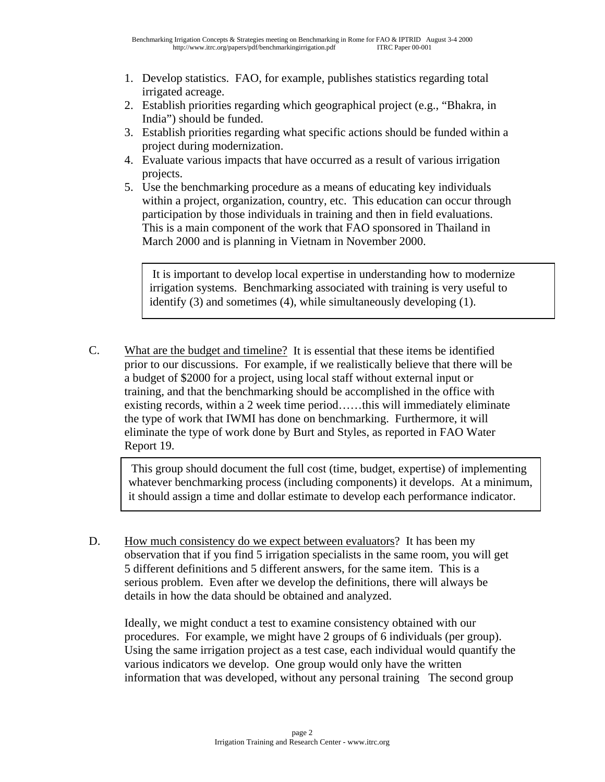- 1. Develop statistics. FAO, for example, publishes statistics regarding total irrigated acreage.
- 2. Establish priorities regarding which geographical project (e.g., "Bhakra, in India") should be funded.
- 3. Establish priorities regarding what specific actions should be funded within a project during modernization.
- 4. Evaluate various impacts that have occurred as a result of various irrigation projects.
- 5. Use the benchmarking procedure as a means of educating key individuals within a project, organization, country, etc. This education can occur through participation by those individuals in training and then in field evaluations. This is a main component of the work that FAO sponsored in Thailand in March 2000 and is planning in Vietnam in November 2000.

 It is important to develop local expertise in understanding how to modernize irrigation systems. Benchmarking associated with training is very useful to identify (3) and sometimes (4), while simultaneously developing (1).

C. What are the budget and timeline? It is essential that these items be identified prior to our discussions. For example, if we realistically believe that there will be a budget of \$2000 for a project, using local staff without external input or training, and that the benchmarking should be accomplished in the office with existing records, within a 2 week time period……this will immediately eliminate the type of work that IWMI has done on benchmarking. Furthermore, it will eliminate the type of work done by Burt and Styles, as reported in FAO Water Report 19.

 This group should document the full cost (time, budget, expertise) of implementing whatever benchmarking process (including components) it develops. At a minimum, it should assign a time and dollar estimate to develop each performance indicator.

D. How much consistency do we expect between evaluators? It has been my observation that if you find 5 irrigation specialists in the same room, you will get 5 different definitions and 5 different answers, for the same item. This is a serious problem. Even after we develop the definitions, there will always be details in how the data should be obtained and analyzed.

Ideally, we might conduct a test to examine consistency obtained with our procedures. For example, we might have 2 groups of 6 individuals (per group). Using the same irrigation project as a test case, each individual would quantify the various indicators we develop. One group would only have the written information that was developed, without any personal training The second group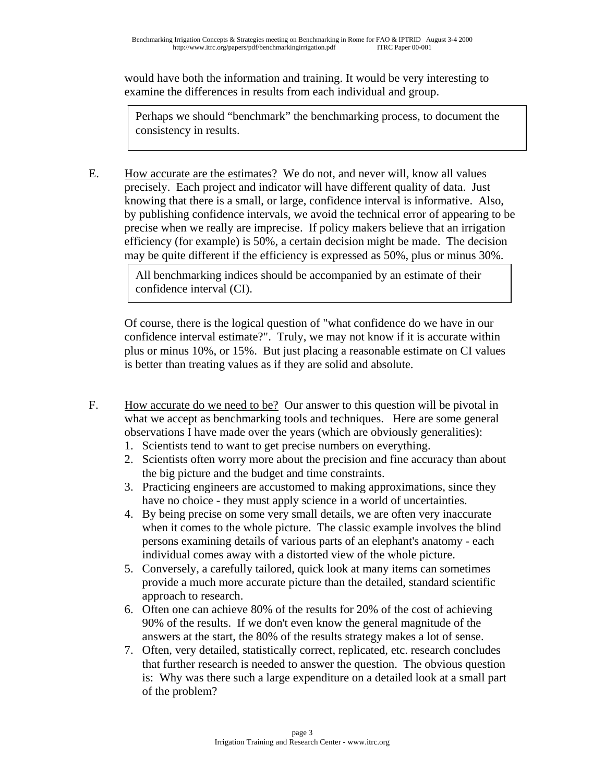would have both the information and training. It would be very interesting to examine the differences in results from each individual and group.

Perhaps we should "benchmark" the benchmarking process, to document the consistency in results.

E. How accurate are the estimates? We do not, and never will, know all values precisely. Each project and indicator will have different quality of data. Just knowing that there is a small, or large, confidence interval is informative. Also, by publishing confidence intervals, we avoid the technical error of appearing to be precise when we really are imprecise. If policy makers believe that an irrigation efficiency (for example) is 50%, a certain decision might be made. The decision may be quite different if the efficiency is expressed as 50%, plus or minus 30%.

> All benchmarking indices should be accompanied by an estimate of their confidence interval (CI).

Of course, there is the logical question of "what confidence do we have in our confidence interval estimate?". Truly, we may not know if it is accurate within plus or minus 10%, or 15%. But just placing a reasonable estimate on CI values is better than treating values as if they are solid and absolute.

- F. How accurate do we need to be? Our answer to this question will be pivotal in what we accept as benchmarking tools and techniques. Here are some general observations I have made over the years (which are obviously generalities):
	- 1. Scientists tend to want to get precise numbers on everything.
	- 2. Scientists often worry more about the precision and fine accuracy than about the big picture and the budget and time constraints.
	- 3. Practicing engineers are accustomed to making approximations, since they have no choice - they must apply science in a world of uncertainties.
	- 4. By being precise on some very small details, we are often very inaccurate when it comes to the whole picture. The classic example involves the blind persons examining details of various parts of an elephant's anatomy - each individual comes away with a distorted view of the whole picture.
	- 5. Conversely, a carefully tailored, quick look at many items can sometimes provide a much more accurate picture than the detailed, standard scientific approach to research.
	- 6. Often one can achieve 80% of the results for 20% of the cost of achieving 90% of the results. If we don't even know the general magnitude of the answers at the start, the 80% of the results strategy makes a lot of sense.
	- 7. Often, very detailed, statistically correct, replicated, etc. research concludes that further research is needed to answer the question. The obvious question is: Why was there such a large expenditure on a detailed look at a small part of the problem?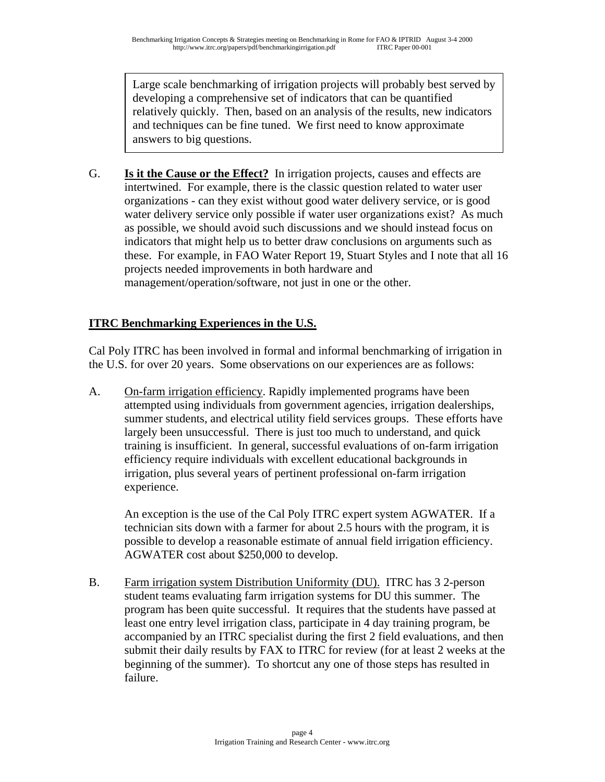Large scale benchmarking of irrigation projects will probably best served by developing a comprehensive set of indicators that can be quantified relatively quickly. Then, based on an analysis of the results, new indicators and techniques can be fine tuned. We first need to know approximate answers to big questions.

G. **Is it the Cause or the Effect?** In irrigation projects, causes and effects are intertwined. For example, there is the classic question related to water user organizations - can they exist without good water delivery service, or is good water delivery service only possible if water user organizations exist? As much as possible, we should avoid such discussions and we should instead focus on indicators that might help us to better draw conclusions on arguments such as these. For example, in FAO Water Report 19, Stuart Styles and I note that all 16 projects needed improvements in both hardware and management/operation/software, not just in one or the other.

## **ITRC Benchmarking Experiences in the U.S.**

Cal Poly ITRC has been involved in formal and informal benchmarking of irrigation in the U.S. for over 20 years. Some observations on our experiences are as follows:

A. On-farm irrigation efficiency. Rapidly implemented programs have been attempted using individuals from government agencies, irrigation dealerships, summer students, and electrical utility field services groups. These efforts have largely been unsuccessful. There is just too much to understand, and quick training is insufficient. In general, successful evaluations of on-farm irrigation efficiency require individuals with excellent educational backgrounds in irrigation, plus several years of pertinent professional on-farm irrigation experience.

An exception is the use of the Cal Poly ITRC expert system AGWATER. If a technician sits down with a farmer for about 2.5 hours with the program, it is possible to develop a reasonable estimate of annual field irrigation efficiency. AGWATER cost about \$250,000 to develop.

B. Farm irrigation system Distribution Uniformity (DU). ITRC has 3 2-person student teams evaluating farm irrigation systems for DU this summer. The program has been quite successful. It requires that the students have passed at least one entry level irrigation class, participate in 4 day training program, be accompanied by an ITRC specialist during the first 2 field evaluations, and then submit their daily results by FAX to ITRC for review (for at least 2 weeks at the beginning of the summer). To shortcut any one of those steps has resulted in failure.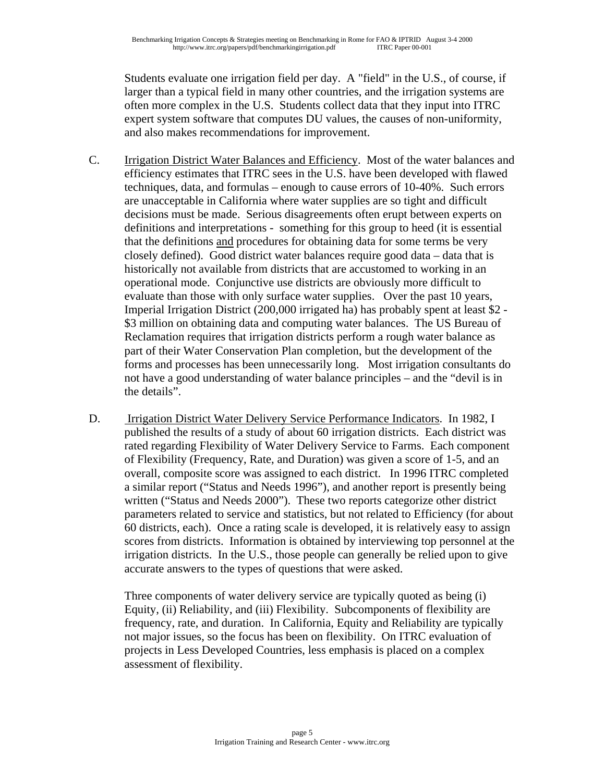Students evaluate one irrigation field per day. A "field" in the U.S., of course, if larger than a typical field in many other countries, and the irrigation systems are often more complex in the U.S. Students collect data that they input into ITRC expert system software that computes DU values, the causes of non-uniformity, and also makes recommendations for improvement.

- C. Irrigation District Water Balances and Efficiency. Most of the water balances and efficiency estimates that ITRC sees in the U.S. have been developed with flawed techniques, data, and formulas – enough to cause errors of 10-40%. Such errors are unacceptable in California where water supplies are so tight and difficult decisions must be made. Serious disagreements often erupt between experts on definitions and interpretations - something for this group to heed (it is essential that the definitions and procedures for obtaining data for some terms be very closely defined). Good district water balances require good data – data that is historically not available from districts that are accustomed to working in an operational mode. Conjunctive use districts are obviously more difficult to evaluate than those with only surface water supplies. Over the past 10 years, Imperial Irrigation District (200,000 irrigated ha) has probably spent at least \$2 - \$3 million on obtaining data and computing water balances. The US Bureau of Reclamation requires that irrigation districts perform a rough water balance as part of their Water Conservation Plan completion, but the development of the forms and processes has been unnecessarily long. Most irrigation consultants do not have a good understanding of water balance principles – and the "devil is in the details".
- D. Irrigation District Water Delivery Service Performance Indicators. In 1982, I published the results of a study of about 60 irrigation districts. Each district was rated regarding Flexibility of Water Delivery Service to Farms. Each component of Flexibility (Frequency, Rate, and Duration) was given a score of 1-5, and an overall, composite score was assigned to each district. In 1996 ITRC completed a similar report ("Status and Needs 1996"), and another report is presently being written ("Status and Needs 2000"). These two reports categorize other district parameters related to service and statistics, but not related to Efficiency (for about 60 districts, each). Once a rating scale is developed, it is relatively easy to assign scores from districts. Information is obtained by interviewing top personnel at the irrigation districts. In the U.S., those people can generally be relied upon to give accurate answers to the types of questions that were asked.

Three components of water delivery service are typically quoted as being (i) Equity, (ii) Reliability, and (iii) Flexibility. Subcomponents of flexibility are frequency, rate, and duration. In California, Equity and Reliability are typically not major issues, so the focus has been on flexibility. On ITRC evaluation of projects in Less Developed Countries, less emphasis is placed on a complex assessment of flexibility.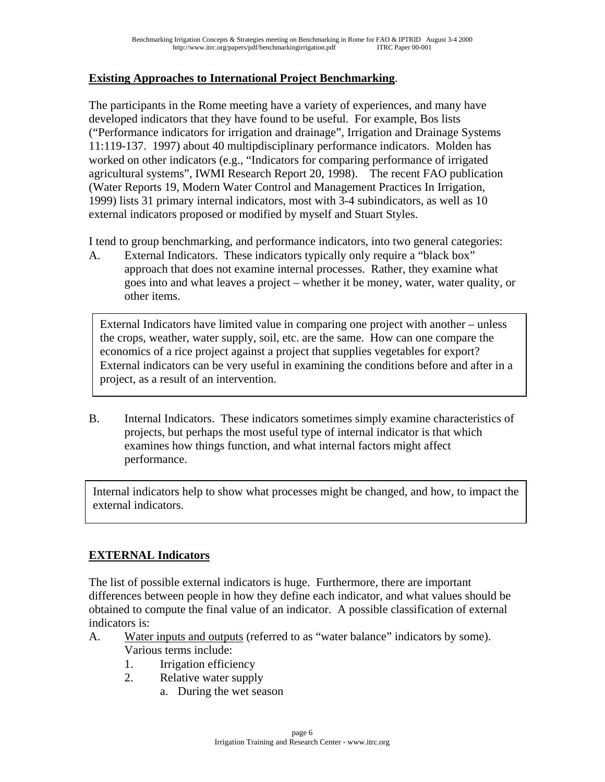### **Existing Approaches to International Project Benchmarking**.

The participants in the Rome meeting have a variety of experiences, and many have developed indicators that they have found to be useful. For example, Bos lists ("Performance indicators for irrigation and drainage", Irrigation and Drainage Systems 11:119-137. 1997) about 40 multipdisciplinary performance indicators. Molden has worked on other indicators (e.g., "Indicators for comparing performance of irrigated agricultural systems", IWMI Research Report 20, 1998). The recent FAO publication (Water Reports 19, Modern Water Control and Management Practices In Irrigation, 1999) lists 31 primary internal indicators, most with 3-4 subindicators, as well as 10 external indicators proposed or modified by myself and Stuart Styles.

I tend to group benchmarking, and performance indicators, into two general categories:

A. External Indicators. These indicators typically only require a "black box" approach that does not examine internal processes. Rather, they examine what goes into and what leaves a project – whether it be money, water, water quality, or other items.

External Indicators have limited value in comparing one project with another – unless the crops, weather, water supply, soil, etc. are the same. How can one compare the economics of a rice project against a project that supplies vegetables for export? External indicators can be very useful in examining the conditions before and after in a project, as a result of an intervention.

B. Internal Indicators. These indicators sometimes simply examine characteristics of projects, but perhaps the most useful type of internal indicator is that which examines how things function, and what internal factors might affect performance.

Internal indicators help to show what processes might be changed, and how, to impact the external indicators.

## **EXTERNAL Indicators**

The list of possible external indicators is huge. Furthermore, there are important differences between people in how they define each indicator, and what values should be obtained to compute the final value of an indicator. A possible classification of external indicators is:

- A. Water inputs and outputs (referred to as "water balance" indicators by some). Various terms include:
	- 1. Irrigation efficiency
	- 2. Relative water supply
		- a. During the wet season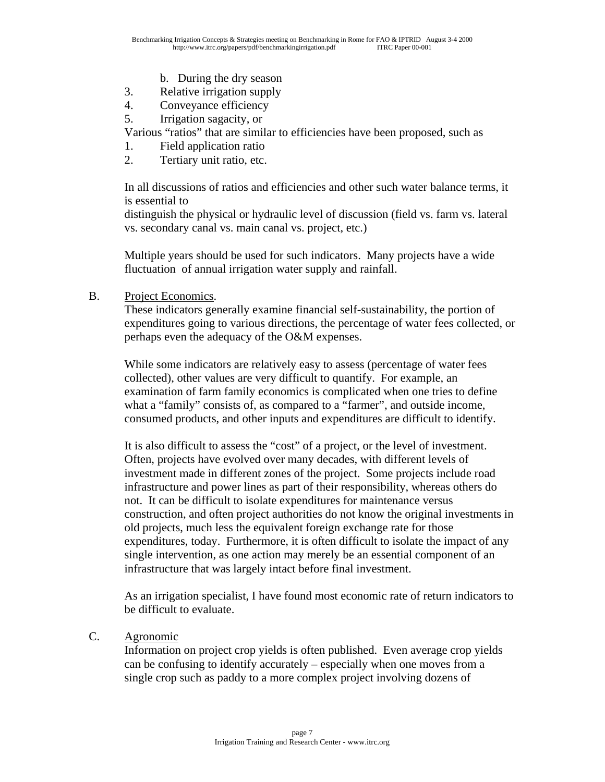- b. During the dry season
- 3. Relative irrigation supply
- 4. Conveyance efficiency
- 5. Irrigation sagacity, or

Various "ratios" that are similar to efficiencies have been proposed, such as

- 1. Field application ratio
- 2. Tertiary unit ratio, etc.

In all discussions of ratios and efficiencies and other such water balance terms, it is essential to

distinguish the physical or hydraulic level of discussion (field vs. farm vs. lateral vs. secondary canal vs. main canal vs. project, etc.)

Multiple years should be used for such indicators. Many projects have a wide fluctuation of annual irrigation water supply and rainfall.

B. Project Economics.

These indicators generally examine financial self-sustainability, the portion of expenditures going to various directions, the percentage of water fees collected, or perhaps even the adequacy of the O&M expenses.

While some indicators are relatively easy to assess (percentage of water fees collected), other values are very difficult to quantify. For example, an examination of farm family economics is complicated when one tries to define what a "family" consists of, as compared to a "farmer", and outside income, consumed products, and other inputs and expenditures are difficult to identify.

It is also difficult to assess the "cost" of a project, or the level of investment. Often, projects have evolved over many decades, with different levels of investment made in different zones of the project. Some projects include road infrastructure and power lines as part of their responsibility, whereas others do not. It can be difficult to isolate expenditures for maintenance versus construction, and often project authorities do not know the original investments in old projects, much less the equivalent foreign exchange rate for those expenditures, today. Furthermore, it is often difficult to isolate the impact of any single intervention, as one action may merely be an essential component of an infrastructure that was largely intact before final investment.

As an irrigation specialist, I have found most economic rate of return indicators to be difficult to evaluate.

C. Agronomic

Information on project crop yields is often published. Even average crop yields can be confusing to identify accurately – especially when one moves from a single crop such as paddy to a more complex project involving dozens of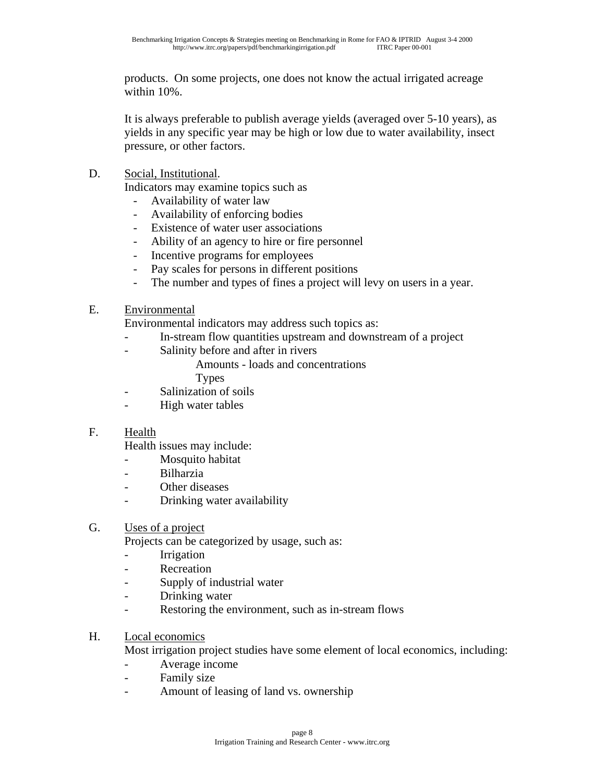products. On some projects, one does not know the actual irrigated acreage within 10%.

It is always preferable to publish average yields (averaged over 5-10 years), as yields in any specific year may be high or low due to water availability, insect pressure, or other factors.

D. Social, Institutional.

Indicators may examine topics such as

- Availability of water law
- Availability of enforcing bodies
- Existence of water user associations
- Ability of an agency to hire or fire personnel
- Incentive programs for employees
- Pay scales for persons in different positions
- The number and types of fines a project will levy on users in a year.
- E. Environmental

Environmental indicators may address such topics as:

- In-stream flow quantities upstream and downstream of a project
- Salinity before and after in rivers

Amounts - loads and concentrations

Types

- Salinization of soils
- High water tables

#### F. Health

Health issues may include:

- Mosquito habitat
- Bilharzia
- Other diseases
- Drinking water availability

### G. Uses of a project

Projects can be categorized by usage, such as:

- Irrigation
- Recreation
- Supply of industrial water
- Drinking water
- Restoring the environment, such as in-stream flows

#### H. Local economics

Most irrigation project studies have some element of local economics, including:

- Average income
- Family size
- Amount of leasing of land vs. ownership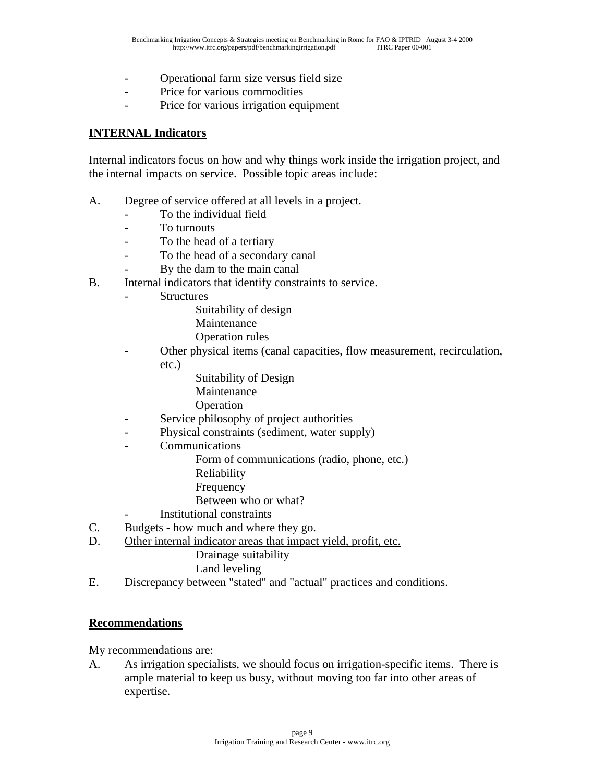- Operational farm size versus field size
- Price for various commodities
- Price for various irrigation equipment

#### **INTERNAL Indicators**

Internal indicators focus on how and why things work inside the irrigation project, and the internal impacts on service. Possible topic areas include:

- A. Degree of service offered at all levels in a project.
	- To the individual field
	- To turnouts
	- To the head of a tertiary
	- To the head of a secondary canal
	- By the dam to the main canal
- B. Internal indicators that identify constraints to service.
	- **Structures** 
		- Suitability of design
		- Maintenance
		- Operation rules
	- Other physical items (canal capacities, flow measurement, recirculation, etc.)
		- Suitability of Design
		- Maintenance
		- **Operation**
	- Service philosophy of project authorities
	- Physical constraints (sediment, water supply)
	- **Communications** 
		- Form of communications (radio, phone, etc.)
		- Reliability
		- Frequency
		- Between who or what?
	- Institutional constraints
- C. Budgets how much and where they go.
- D. Other internal indicator areas that impact yield, profit, etc.
	- Drainage suitability
	- Land leveling
- E. Discrepancy between "stated" and "actual" practices and conditions.

#### **Recommendations**

My recommendations are:

A. As irrigation specialists, we should focus on irrigation-specific items. There is ample material to keep us busy, without moving too far into other areas of expertise.